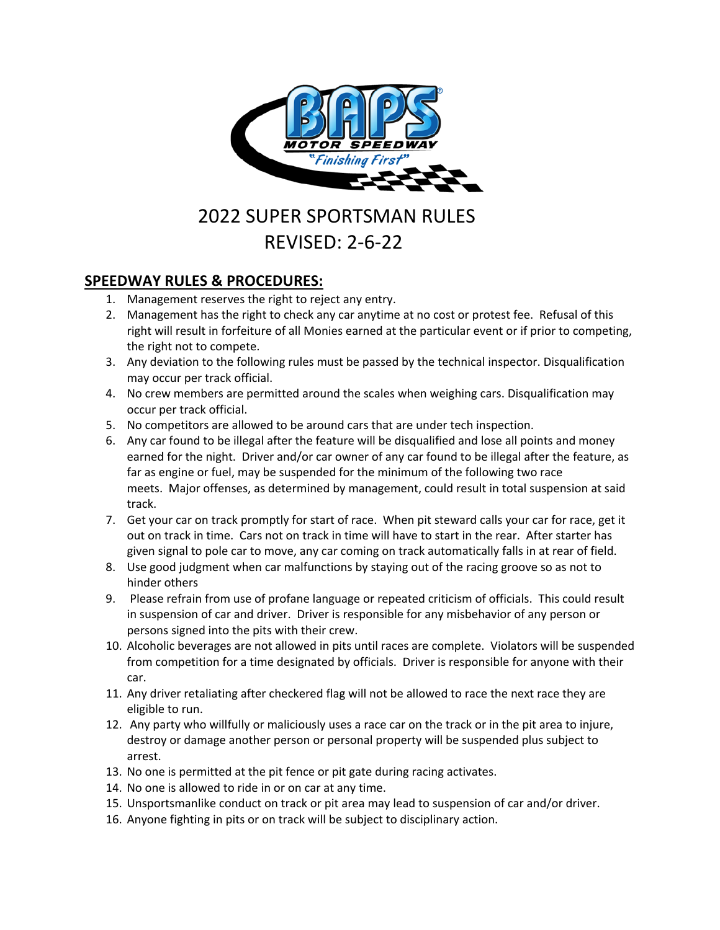

# 2022 SUPER SPORTSMAN RULES REVISED: 2-6-22

# **SPEEDWAY RULES & PROCEDURES:**

- 1. Management reserves the right to reject any entry.
- 2. Management has the right to check any car anytime at no cost or protest fee. Refusal of this right will result in forfeiture of all Monies earned at the particular event or if prior to competing, the right not to compete.
- 3. Any deviation to the following rules must be passed by the technical inspector. Disqualification may occur per track official.
- 4. No crew members are permitted around the scales when weighing cars. Disqualification may occur per track official.
- 5. No competitors are allowed to be around cars that are under tech inspection.
- 6. Any car found to be illegal after the feature will be disqualified and lose all points and money earned for the night. Driver and/or car owner of any car found to be illegal after the feature, as far as engine or fuel, may be suspended for the minimum of the following two race meets. Major offenses, as determined by management, could result in total suspension at said track.
- 7. Get your car on track promptly for start of race. When pit steward calls your car for race, get it out on track in time. Cars not on track in time will have to start in the rear. After starter has given signal to pole car to move, any car coming on track automatically falls in at rear of field.
- 8. Use good judgment when car malfunctions by staying out of the racing groove so as not to hinder others
- 9. Please refrain from use of profane language or repeated criticism of officials. This could result in suspension of car and driver. Driver is responsible for any misbehavior of any person or persons signed into the pits with their crew.
- 10. Alcoholic beverages are not allowed in pits until races are complete. Violators will be suspended from competition for a time designated by officials. Driver is responsible for anyone with their car.
- 11. Any driver retaliating after checkered flag will not be allowed to race the next race they are eligible to run.
- 12. Any party who willfully or maliciously uses a race car on the track or in the pit area to injure, destroy or damage another person or personal property will be suspended plus subject to arrest.
- 13. No one is permitted at the pit fence or pit gate during racing activates.
- 14. No one is allowed to ride in or on car at any time.
- 15. Unsportsmanlike conduct on track or pit area may lead to suspension of car and/or driver.
- 16. Anyone fighting in pits or on track will be subject to disciplinary action.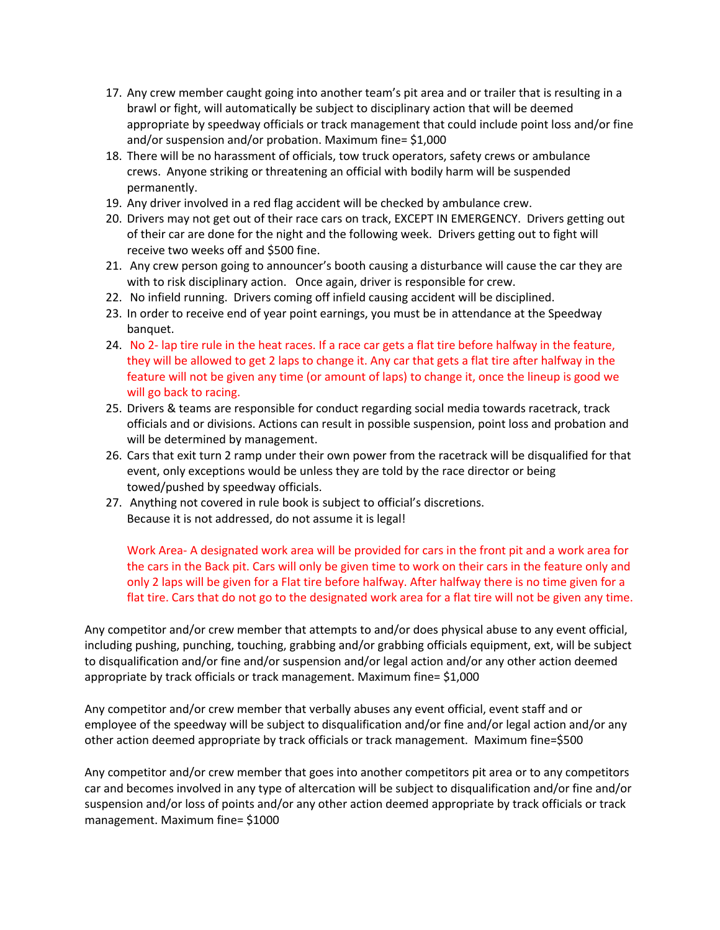- 17. Any crew member caught going into another team's pit area and or trailer that is resulting in a brawl or fight, will automatically be subject to disciplinary action that will be deemed appropriate by speedway officials or track management that could include point loss and/or fine and/or suspension and/or probation. Maximum fine= \$1,000
- 18. There will be no harassment of officials, tow truck operators, safety crews or ambulance crews. Anyone striking or threatening an official with bodily harm will be suspended permanently.
- 19. Any driver involved in a red flag accident will be checked by ambulance crew.
- 20. Drivers may not get out of their race cars on track, EXCEPT IN EMERGENCY. Drivers getting out of their car are done for the night and the following week. Drivers getting out to fight will receive two weeks off and \$500 fine.
- 21. Any crew person going to announcer's booth causing a disturbance will cause the car they are with to risk disciplinary action. Once again, driver is responsible for crew.
- 22. No infield running. Drivers coming off infield causing accident will be disciplined.
- 23. In order to receive end of year point earnings, you must be in attendance at the Speedway banquet.
- 24. No 2- lap tire rule in the heat races. If a race car gets a flat tire before halfway in the feature, they will be allowed to get 2 laps to change it. Any car that gets a flat tire after halfway in the feature will not be given any time (or amount of laps) to change it, once the lineup is good we will go back to racing.
- 25. Drivers & teams are responsible for conduct regarding social media towards racetrack, track officials and or divisions. Actions can result in possible suspension, point loss and probation and will be determined by management.
- 26. Cars that exit turn 2 ramp under their own power from the racetrack will be disqualified for that event, only exceptions would be unless they are told by the race director or being towed/pushed by speedway officials.
- 27. Anything not covered in rule book is subject to official's discretions. Because it is not addressed, do not assume it is legal!

Work Area- A designated work area will be provided for cars in the front pit and a work area for the cars in the Back pit. Cars will only be given time to work on their cars in the feature only and only 2 laps will be given for a Flat tire before halfway. After halfway there is no time given for a flat tire. Cars that do not go to the designated work area for a flat tire will not be given any time.

Any competitor and/or crew member that attempts to and/or does physical abuse to any event official, including pushing, punching, touching, grabbing and/or grabbing officials equipment, ext, will be subject to disqualification and/or fine and/or suspension and/or legal action and/or any other action deemed appropriate by track officials or track management. Maximum fine= \$1,000

Any competitor and/or crew member that verbally abuses any event official, event staff and or employee of the speedway will be subject to disqualification and/or fine and/or legal action and/or any other action deemed appropriate by track officials or track management. Maximum fine=\$500

Any competitor and/or crew member that goes into another competitors pit area or to any competitors car and becomes involved in any type of altercation will be subject to disqualification and/or fine and/or suspension and/or loss of points and/or any other action deemed appropriate by track officials or track management. Maximum fine= \$1000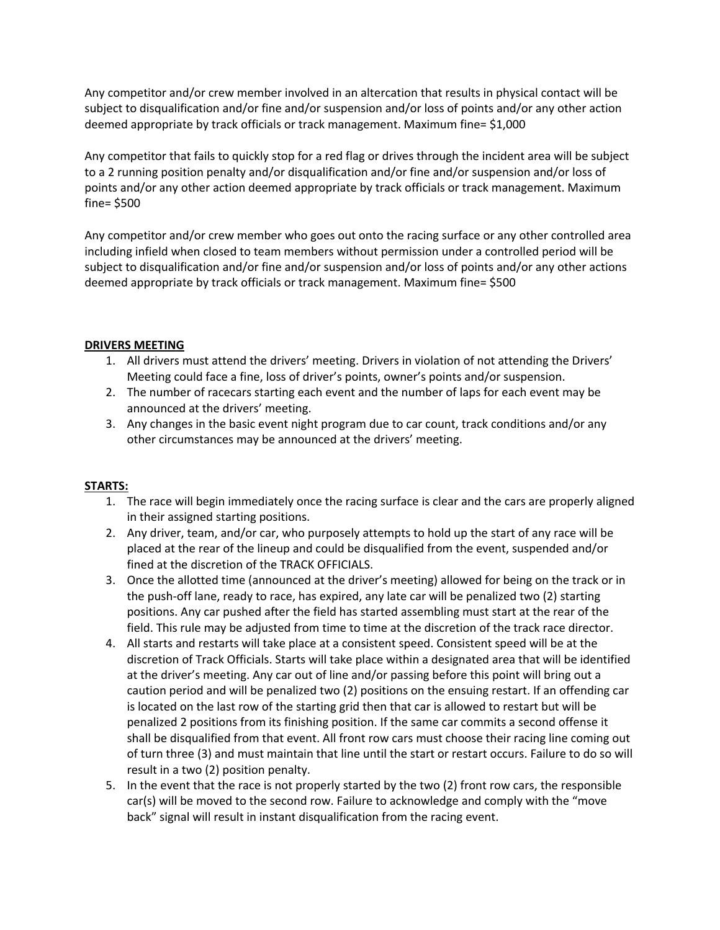Any competitor and/or crew member involved in an altercation that results in physical contact will be subject to disqualification and/or fine and/or suspension and/or loss of points and/or any other action deemed appropriate by track officials or track management. Maximum fine= \$1,000

Any competitor that fails to quickly stop for a red flag or drives through the incident area will be subject to a 2 running position penalty and/or disqualification and/or fine and/or suspension and/or loss of points and/or any other action deemed appropriate by track officials or track management. Maximum fine= \$500

Any competitor and/or crew member who goes out onto the racing surface or any other controlled area including infield when closed to team members without permission under a controlled period will be subject to disqualification and/or fine and/or suspension and/or loss of points and/or any other actions deemed appropriate by track officials or track management. Maximum fine= \$500

#### **DRIVERS MEETING**

- 1. All drivers must attend the drivers' meeting. Drivers in violation of not attending the Drivers' Meeting could face a fine, loss of driver's points, owner's points and/or suspension.
- 2. The number of racecars starting each event and the number of laps for each event may be announced at the drivers' meeting.
- 3. Any changes in the basic event night program due to car count, track conditions and/or any other circumstances may be announced at the drivers' meeting.

# **STARTS:**

- 1. The race will begin immediately once the racing surface is clear and the cars are properly aligned in their assigned starting positions.
- 2. Any driver, team, and/or car, who purposely attempts to hold up the start of any race will be placed at the rear of the lineup and could be disqualified from the event, suspended and/or fined at the discretion of the TRACK OFFICIALS.
- 3. Once the allotted time (announced at the driver's meeting) allowed for being on the track or in the push-off lane, ready to race, has expired, any late car will be penalized two (2) starting positions. Any car pushed after the field has started assembling must start at the rear of the field. This rule may be adjusted from time to time at the discretion of the track race director.
- 4. All starts and restarts will take place at a consistent speed. Consistent speed will be at the discretion of Track Officials. Starts will take place within a designated area that will be identified at the driver's meeting. Any car out of line and/or passing before this point will bring out a caution period and will be penalized two (2) positions on the ensuing restart. If an offending car is located on the last row of the starting grid then that car is allowed to restart but will be penalized 2 positions from its finishing position. If the same car commits a second offense it shall be disqualified from that event. All front row cars must choose their racing line coming out of turn three (3) and must maintain that line until the start or restart occurs. Failure to do so will result in a two (2) position penalty.
- 5. In the event that the race is not properly started by the two (2) front row cars, the responsible car(s) will be moved to the second row. Failure to acknowledge and comply with the "move back" signal will result in instant disqualification from the racing event.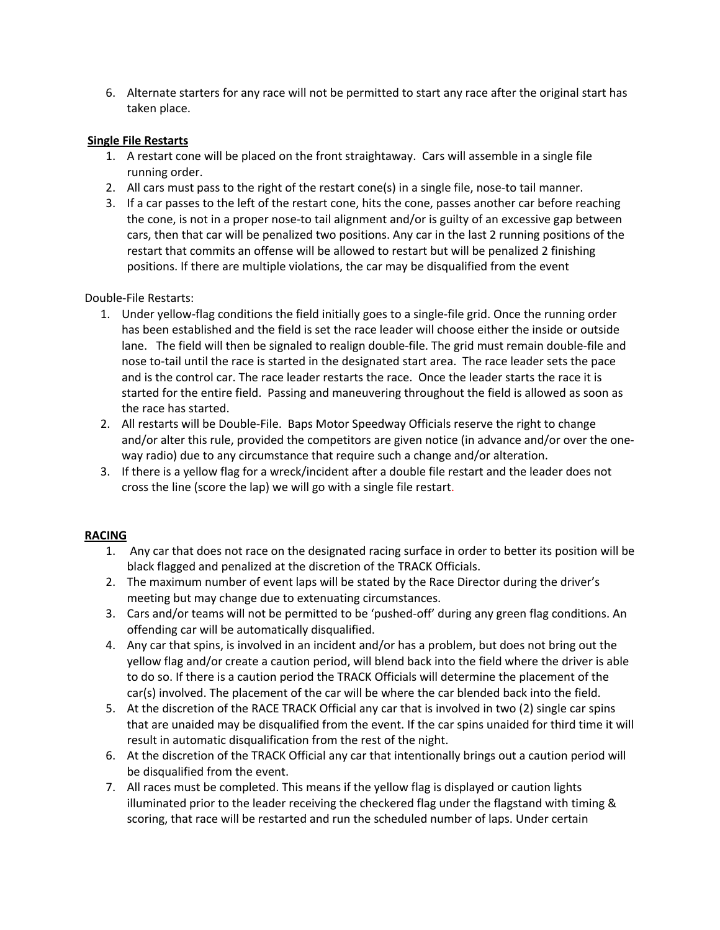6. Alternate starters for any race will not be permitted to start any race after the original start has taken place.

#### **Single File Restarts**

- 1. A restart cone will be placed on the front straightaway. Cars will assemble in a single file running order.
- 2. All cars must pass to the right of the restart cone(s) in a single file, nose-to tail manner.
- 3. If a car passes to the left of the restart cone, hits the cone, passes another car before reaching the cone, is not in a proper nose-to tail alignment and/or is guilty of an excessive gap between cars, then that car will be penalized two positions. Any car in the last 2 running positions of the restart that commits an offense will be allowed to restart but will be penalized 2 finishing positions. If there are multiple violations, the car may be disqualified from the event

Double-File Restarts:

- 1. Under yellow-flag conditions the field initially goes to a single-file grid. Once the running order has been established and the field is set the race leader will choose either the inside or outside lane. The field will then be signaled to realign double-file. The grid must remain double-file and nose to-tail until the race is started in the designated start area. The race leader sets the pace and is the control car. The race leader restarts the race. Once the leader starts the race it is started for the entire field. Passing and maneuvering throughout the field is allowed as soon as the race has started.
- 2. All restarts will be Double-File. Baps Motor Speedway Officials reserve the right to change and/or alter this rule, provided the competitors are given notice (in advance and/or over the oneway radio) due to any circumstance that require such a change and/or alteration.
- 3. If there is a yellow flag for a wreck/incident after a double file restart and the leader does not cross the line (score the lap) we will go with a single file restart.

#### **RACING**

- 1. Any car that does not race on the designated racing surface in order to better its position will be black flagged and penalized at the discretion of the TRACK Officials.
- 2. The maximum number of event laps will be stated by the Race Director during the driver's meeting but may change due to extenuating circumstances.
- 3. Cars and/or teams will not be permitted to be 'pushed-off' during any green flag conditions. An offending car will be automatically disqualified.
- 4. Any car that spins, is involved in an incident and/or has a problem, but does not bring out the yellow flag and/or create a caution period, will blend back into the field where the driver is able to do so. If there is a caution period the TRACK Officials will determine the placement of the car(s) involved. The placement of the car will be where the car blended back into the field.
- 5. At the discretion of the RACE TRACK Official any car that is involved in two (2) single car spins that are unaided may be disqualified from the event. If the car spins unaided for third time it will result in automatic disqualification from the rest of the night.
- 6. At the discretion of the TRACK Official any car that intentionally brings out a caution period will be disqualified from the event.
- 7. All races must be completed. This means if the yellow flag is displayed or caution lights illuminated prior to the leader receiving the checkered flag under the flagstand with timing & scoring, that race will be restarted and run the scheduled number of laps. Under certain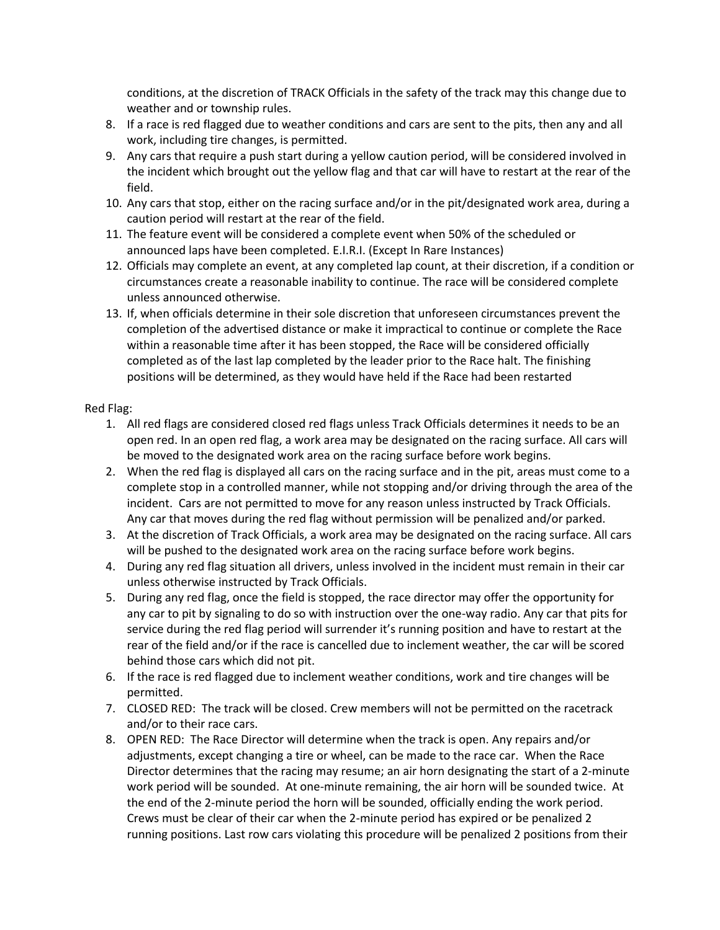conditions, at the discretion of TRACK Officials in the safety of the track may this change due to weather and or township rules.

- 8. If a race is red flagged due to weather conditions and cars are sent to the pits, then any and all work, including tire changes, is permitted.
- 9. Any cars that require a push start during a yellow caution period, will be considered involved in the incident which brought out the yellow flag and that car will have to restart at the rear of the field.
- 10. Any cars that stop, either on the racing surface and/or in the pit/designated work area, during a caution period will restart at the rear of the field.
- 11. The feature event will be considered a complete event when 50% of the scheduled or announced laps have been completed. E.I.R.I. (Except In Rare Instances)
- 12. Officials may complete an event, at any completed lap count, at their discretion, if a condition or circumstances create a reasonable inability to continue. The race will be considered complete unless announced otherwise.
- 13. If, when officials determine in their sole discretion that unforeseen circumstances prevent the completion of the advertised distance or make it impractical to continue or complete the Race within a reasonable time after it has been stopped, the Race will be considered officially completed as of the last lap completed by the leader prior to the Race halt. The finishing positions will be determined, as they would have held if the Race had been restarted

#### Red Flag:

- 1. All red flags are considered closed red flags unless Track Officials determines it needs to be an open red. In an open red flag, a work area may be designated on the racing surface. All cars will be moved to the designated work area on the racing surface before work begins.
- 2. When the red flag is displayed all cars on the racing surface and in the pit, areas must come to a complete stop in a controlled manner, while not stopping and/or driving through the area of the incident. Cars are not permitted to move for any reason unless instructed by Track Officials. Any car that moves during the red flag without permission will be penalized and/or parked.
- 3. At the discretion of Track Officials, a work area may be designated on the racing surface. All cars will be pushed to the designated work area on the racing surface before work begins.
- 4. During any red flag situation all drivers, unless involved in the incident must remain in their car unless otherwise instructed by Track Officials.
- 5. During any red flag, once the field is stopped, the race director may offer the opportunity for any car to pit by signaling to do so with instruction over the one-way radio. Any car that pits for service during the red flag period will surrender it's running position and have to restart at the rear of the field and/or if the race is cancelled due to inclement weather, the car will be scored behind those cars which did not pit.
- 6. If the race is red flagged due to inclement weather conditions, work and tire changes will be permitted.
- 7. CLOSED RED: The track will be closed. Crew members will not be permitted on the racetrack and/or to their race cars.
- 8. OPEN RED: The Race Director will determine when the track is open. Any repairs and/or adjustments, except changing a tire or wheel, can be made to the race car. When the Race Director determines that the racing may resume; an air horn designating the start of a 2-minute work period will be sounded. At one-minute remaining, the air horn will be sounded twice. At the end of the 2-minute period the horn will be sounded, officially ending the work period. Crews must be clear of their car when the 2-minute period has expired or be penalized 2 running positions. Last row cars violating this procedure will be penalized 2 positions from their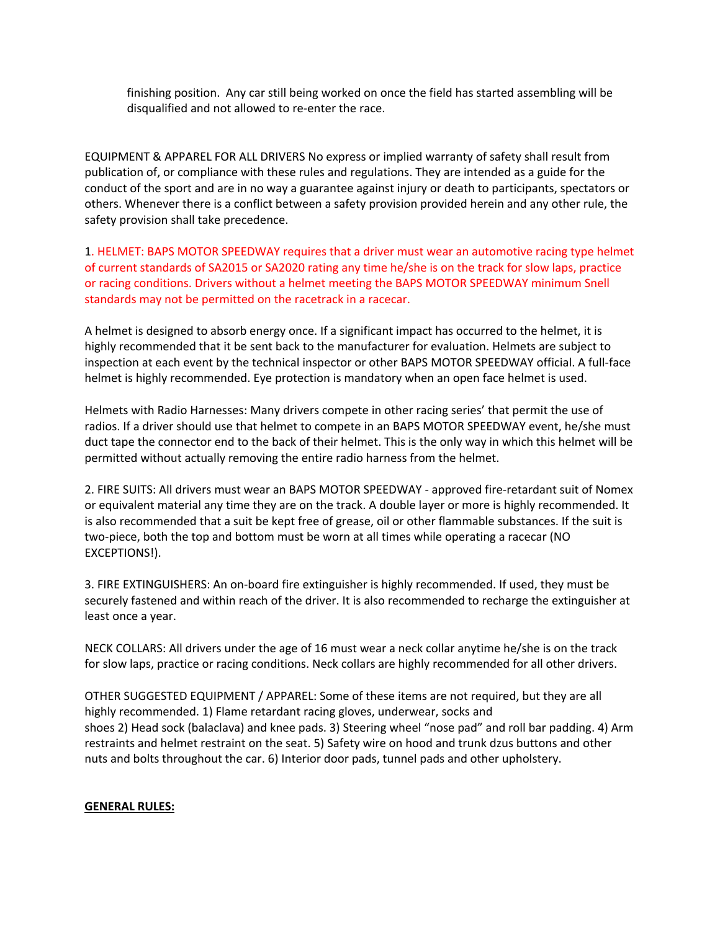finishing position. Any car still being worked on once the field has started assembling will be disqualified and not allowed to re-enter the race.

EQUIPMENT & APPAREL FOR ALL DRIVERS No express or implied warranty of safety shall result from publication of, or compliance with these rules and regulations. They are intended as a guide for the conduct of the sport and are in no way a guarantee against injury or death to participants, spectators or others. Whenever there is a conflict between a safety provision provided herein and any other rule, the safety provision shall take precedence.

1. HELMET: BAPS MOTOR SPEEDWAY requires that a driver must wear an automotive racing type helmet of current standards of SA2015 or SA2020 rating any time he/she is on the track for slow laps, practice or racing conditions. Drivers without a helmet meeting the BAPS MOTOR SPEEDWAY minimum Snell standards may not be permitted on the racetrack in a racecar.

A helmet is designed to absorb energy once. If a significant impact has occurred to the helmet, it is highly recommended that it be sent back to the manufacturer for evaluation. Helmets are subject to inspection at each event by the technical inspector or other BAPS MOTOR SPEEDWAY official. A full-face helmet is highly recommended. Eye protection is mandatory when an open face helmet is used.

Helmets with Radio Harnesses: Many drivers compete in other racing series' that permit the use of radios. If a driver should use that helmet to compete in an BAPS MOTOR SPEEDWAY event, he/she must duct tape the connector end to the back of their helmet. This is the only way in which this helmet will be permitted without actually removing the entire radio harness from the helmet.

2. FIRE SUITS: All drivers must wear an BAPS MOTOR SPEEDWAY - approved fire-retardant suit of Nomex or equivalent material any time they are on the track. A double layer or more is highly recommended. It is also recommended that a suit be kept free of grease, oil or other flammable substances. If the suit is two-piece, both the top and bottom must be worn at all times while operating a racecar (NO EXCEPTIONS!).

3. FIRE EXTINGUISHERS: An on-board fire extinguisher is highly recommended. If used, they must be securely fastened and within reach of the driver. It is also recommended to recharge the extinguisher at least once a year.

NECK COLLARS: All drivers under the age of 16 must wear a neck collar anytime he/she is on the track for slow laps, practice or racing conditions. Neck collars are highly recommended for all other drivers.

OTHER SUGGESTED EQUIPMENT / APPAREL: Some of these items are not required, but they are all highly recommended. 1) Flame retardant racing gloves, underwear, socks and shoes 2) Head sock (balaclava) and knee pads. 3) Steering wheel "nose pad" and roll bar padding. 4) Arm restraints and helmet restraint on the seat. 5) Safety wire on hood and trunk dzus buttons and other nuts and bolts throughout the car. 6) Interior door pads, tunnel pads and other upholstery.

#### **GENERAL RULES:**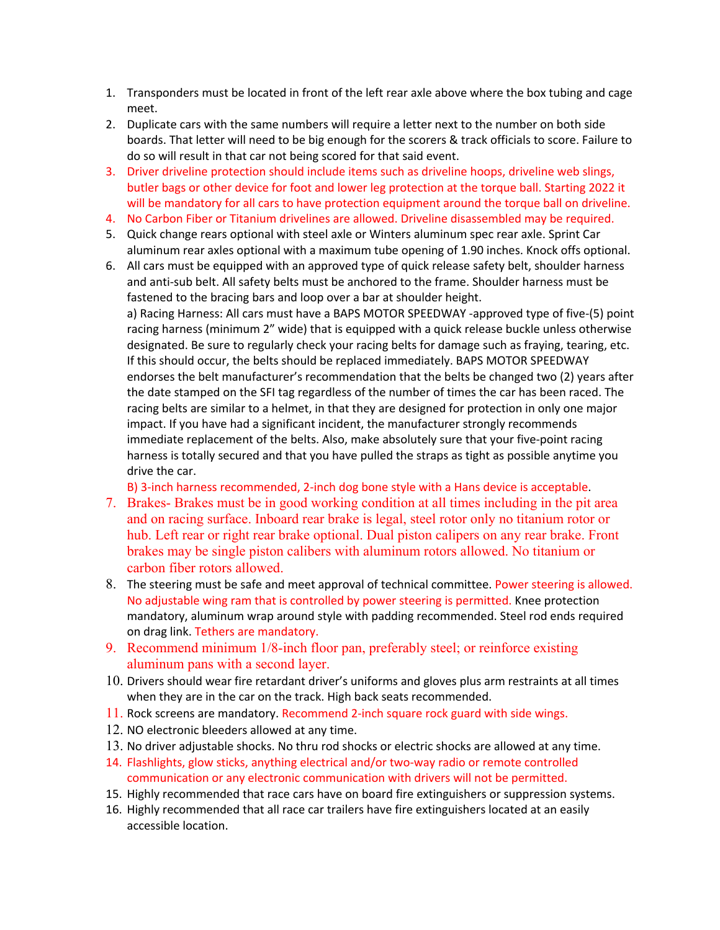- 1. Transponders must be located in front of the left rear axle above where the box tubing and cage meet.
- 2. Duplicate cars with the same numbers will require a letter next to the number on both side boards. That letter will need to be big enough for the scorers & track officials to score. Failure to do so will result in that car not being scored for that said event.
- 3. Driver driveline protection should include items such as driveline hoops, driveline web slings, butler bags or other device for foot and lower leg protection at the torque ball. Starting 2022 it will be mandatory for all cars to have protection equipment around the torque ball on driveline.
- 4. No Carbon Fiber or Titanium drivelines are allowed. Driveline disassembled may be required.
- 5. Quick change rears optional with steel axle or Winters aluminum spec rear axle. Sprint Car aluminum rear axles optional with a maximum tube opening of 1.90 inches. Knock offs optional.
- 6. All cars must be equipped with an approved type of quick release safety belt, shoulder harness and anti-sub belt. All safety belts must be anchored to the frame. Shoulder harness must be fastened to the bracing bars and loop over a bar at shoulder height. a) Racing Harness: All cars must have a BAPS MOTOR SPEEDWAY -approved type of five-(5) point racing harness (minimum 2" wide) that is equipped with a quick release buckle unless otherwise designated. Be sure to regularly check your racing belts for damage such as fraying, tearing, etc. If this should occur, the belts should be replaced immediately. BAPS MOTOR SPEEDWAY endorses the belt manufacturer's recommendation that the belts be changed two (2) years after the date stamped on the SFI tag regardless of the number of times the car has been raced. The racing belts are similar to a helmet, in that they are designed for protection in only one major impact. If you have had a significant incident, the manufacturer strongly recommends immediate replacement of the belts. Also, make absolutely sure that your five-point racing harness is totally secured and that you have pulled the straps as tight as possible anytime you drive the car.

B) 3-inch harness recommended, 2-inch dog bone style with a Hans device is acceptable.

- 7. Brakes- Brakes must be in good working condition at all times including in the pit area and on racing surface. Inboard rear brake is legal, steel rotor only no titanium rotor or hub. Left rear or right rear brake optional. Dual piston calipers on any rear brake. Front brakes may be single piston calibers with aluminum rotors allowed. No titanium or carbon fiber rotors allowed.
- 8. The steering must be safe and meet approval of technical committee. Power steering is allowed. No adjustable wing ram that is controlled by power steering is permitted. Knee protection mandatory, aluminum wrap around style with padding recommended. Steel rod ends required on drag link. Tethers are mandatory.
- 9. Recommend minimum 1/8-inch floor pan, preferably steel; or reinforce existing aluminum pans with a second layer.
- 10. Drivers should wear fire retardant driver's uniforms and gloves plus arm restraints at all times when they are in the car on the track. High back seats recommended.
- 11. Rock screens are mandatory. Recommend 2-inch square rock guard with side wings.
- 12. NO electronic bleeders allowed at any time.
- 13. No driver adjustable shocks. No thru rod shocks or electric shocks are allowed at any time.
- 14. Flashlights, glow sticks, anything electrical and/or two-way radio or remote controlled communication or any electronic communication with drivers will not be permitted.
- 15. Highly recommended that race cars have on board fire extinguishers or suppression systems.
- 16. Highly recommended that all race car trailers have fire extinguishers located at an easily accessible location.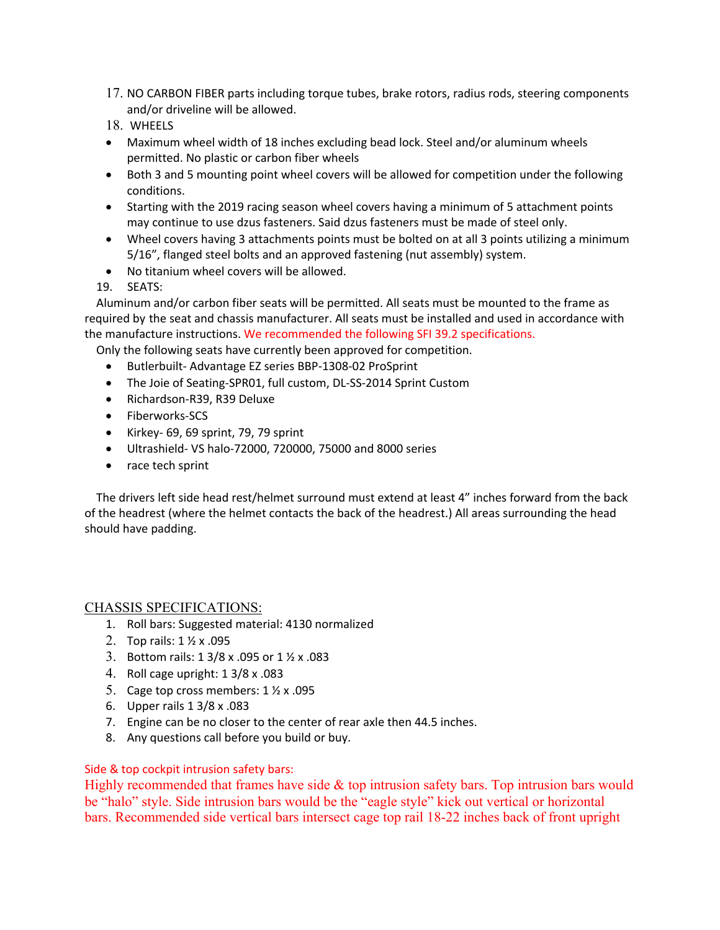- 17. NO CARBON FIBER parts including torque tubes, brake rotors, radius rods, steering components and/or driveline will be allowed.
- 18. WHEELS
- Maximum wheel width of 18 inches excluding bead lock. Steel and/or aluminum wheels permitted. No plastic or carbon fiber wheels
- Both 3 and 5 mounting point wheel covers will be allowed for competition under the following conditions.
- Starting with the 2019 racing season wheel covers having a minimum of 5 attachment points may continue to use dzus fasteners. Said dzus fasteners must be made of steel only.
- Wheel covers having 3 attachments points must be bolted on at all 3 points utilizing a minimum 5/16", flanged steel bolts and an approved fastening (nut assembly) system.
- No titanium wheel covers will be allowed.

19. SEATS:

 Aluminum and/or carbon fiber seats will be permitted. All seats must be mounted to the frame as required by the seat and chassis manufacturer. All seats must be installed and used in accordance with the manufacture instructions. We recommended the following SFI 39.2 specifications.

Only the following seats have currently been approved for competition.

- Butlerbuilt- Advantage EZ series BBP-1308-02 ProSprint
- The Joie of Seating-SPR01, full custom, DL-SS-2014 Sprint Custom
- Richardson-R39, R39 Deluxe
- Fiberworks-SCS
- Kirkey- 69, 69 sprint, 79, 79 sprint
- Ultrashield- VS halo-72000, 720000, 75000 and 8000 series
- race tech sprint

 The drivers left side head rest/helmet surround must extend at least 4" inches forward from the back of the headrest (where the helmet contacts the back of the headrest.) All areas surrounding the head should have padding.

# CHASSIS SPECIFICATIONS:

- 1. Roll bars: Suggested material: 4130 normalized
- 2. Top rails: 1 ½ x .095
- 3. Bottom rails: 1 3/8 x .095 or 1 ½ x .083
- 4. Roll cage upright: 1 3/8 x .083
- 5. Cage top cross members: 1 ½ x .095
- 6. Upper rails 1 3/8 x .083
- 7. Engine can be no closer to the center of rear axle then 44.5 inches.
- 8. Any questions call before you build or buy.

#### Side & top cockpit intrusion safety bars:

Highly recommended that frames have side & top intrusion safety bars. Top intrusion bars would be "halo" style. Side intrusion bars would be the "eagle style" kick out vertical or horizontal bars. Recommended side vertical bars intersect cage top rail 18-22 inches back of front upright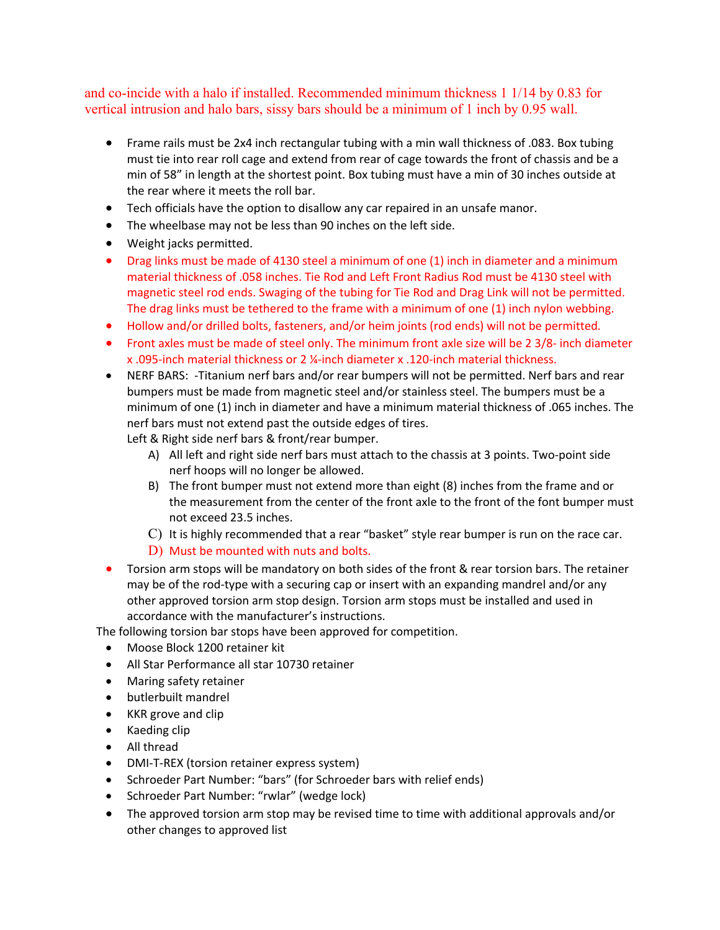and co-incide with a halo if installed. Recommended minimum thickness 1 1/14 by 0.83 for vertical intrusion and halo bars, sissy bars should be a minimum of 1 inch by 0.95 wall.

- Frame rails must be 2x4 inch rectangular tubing with a min wall thickness of .083. Box tubing must tie into rear roll cage and extend from rear of cage towards the front of chassis and be a min of 58" in length at the shortest point. Box tubing must have a min of 30 inches outside at the rear where it meets the roll bar.
- Tech officials have the option to disallow any car repaired in an unsafe manor.
- The wheelbase may not be less than 90 inches on the left side.
- Weight jacks permitted.
- Drag links must be made of 4130 steel a minimum of one (1) inch in diameter and a minimum material thickness of .058 inches. Tie Rod and Left Front Radius Rod must be 4130 steel with magnetic steel rod ends. Swaging of the tubing for Tie Rod and Drag Link will not be permitted. The drag links must be tethered to the frame with a minimum of one (1) inch nylon webbing.
- Hollow and/or drilled bolts, fasteners, and/or heim joints (rod ends) will not be permitted.
- Front axles must be made of steel only. The minimum front axle size will be 2 3/8- inch diameter x .095-inch material thickness or 2 ¼-inch diameter x .120-inch material thickness.
- NERF BARS: -Titanium nerf bars and/or rear bumpers will not be permitted. Nerf bars and rear bumpers must be made from magnetic steel and/or stainless steel. The bumpers must be a minimum of one (1) inch in diameter and have a minimum material thickness of .065 inches. The nerf bars must not extend past the outside edges of tires.

Left & Right side nerf bars & front/rear bumper.

- A) All left and right side nerf bars must attach to the chassis at 3 points. Two-point side nerf hoops will no longer be allowed.
- B) The front bumper must not extend more than eight (8) inches from the frame and or the measurement from the center of the front axle to the front of the font bumper must not exceed 23.5 inches.
- C) It is highly recommended that a rear "basket" style rear bumper is run on the race car.
- D) Must be mounted with nuts and bolts.
- Torsion arm stops will be mandatory on both sides of the front & rear torsion bars. The retainer may be of the rod-type with a securing cap or insert with an expanding mandrel and/or any other approved torsion arm stop design. Torsion arm stops must be installed and used in accordance with the manufacturer's instructions.

The following torsion bar stops have been approved for competition.

- Moose Block 1200 retainer kit
- All Star Performance all star 10730 retainer
- Maring safety retainer
- butlerbuilt mandrel
- KKR grove and clip
- Kaeding clip
- All thread
- DMI-T-REX (torsion retainer express system)
- Schroeder Part Number: "bars" (for Schroeder bars with relief ends)
- Schroeder Part Number: "rwlar" (wedge lock)
- The approved torsion arm stop may be revised time to time with additional approvals and/or other changes to approved list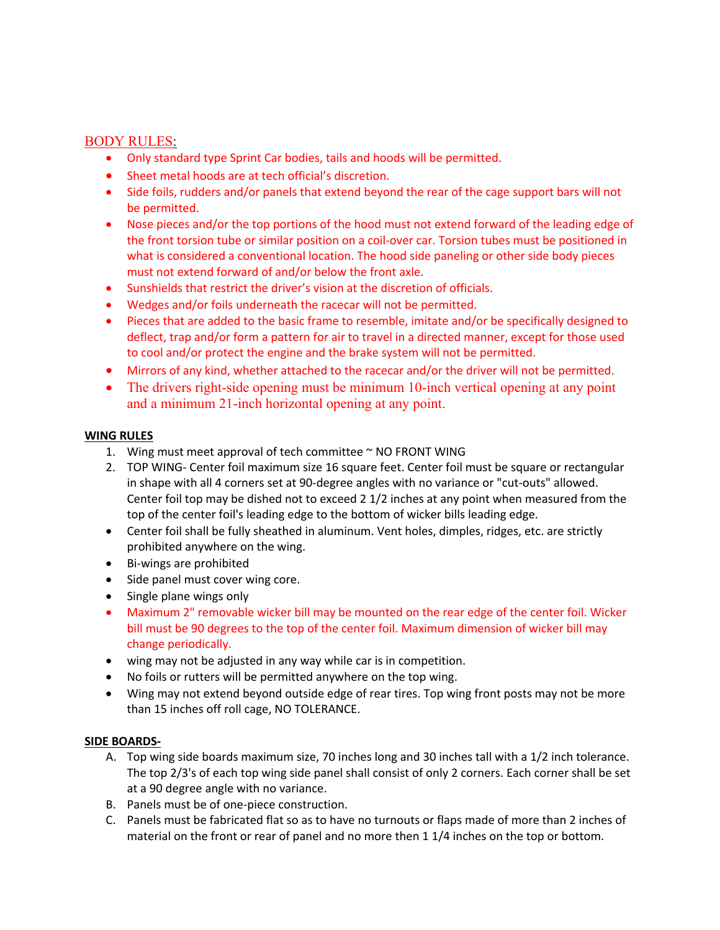#### BODY RULES:

- Only standard type Sprint Car bodies, tails and hoods will be permitted.
- Sheet metal hoods are at tech official's discretion.
- Side foils, rudders and/or panels that extend beyond the rear of the cage support bars will not be permitted.
- Nose pieces and/or the top portions of the hood must not extend forward of the leading edge of the front torsion tube or similar position on a coil-over car. Torsion tubes must be positioned in what is considered a conventional location. The hood side paneling or other side body pieces must not extend forward of and/or below the front axle.
- Sunshields that restrict the driver's vision at the discretion of officials.
- Wedges and/or foils underneath the racecar will not be permitted.
- Pieces that are added to the basic frame to resemble, imitate and/or be specifically designed to deflect, trap and/or form a pattern for air to travel in a directed manner, except for those used to cool and/or protect the engine and the brake system will not be permitted.
- Mirrors of any kind, whether attached to the racecar and/or the driver will not be permitted.
- The drivers right-side opening must be minimum 10-inch vertical opening at any point and a minimum 21-inch horizontal opening at any point.

#### **WING RULES**

- 1. Wing must meet approval of tech committee ~ NO FRONT WING
- 2. TOP WING- Center foil maximum size 16 square feet. Center foil must be square or rectangular in shape with all 4 corners set at 90-degree angles with no variance or "cut-outs" allowed. Center foil top may be dished not to exceed 2 1/2 inches at any point when measured from the top of the center foil's leading edge to the bottom of wicker bills leading edge.
- Center foil shall be fully sheathed in aluminum. Vent holes, dimples, ridges, etc. are strictly prohibited anywhere on the wing.
- Bi-wings are prohibited
- Side panel must cover wing core.
- Single plane wings only
- Maximum 2" removable wicker bill may be mounted on the rear edge of the center foil. Wicker bill must be 90 degrees to the top of the center foil. Maximum dimension of wicker bill may change periodically.
- wing may not be adjusted in any way while car is in competition.
- No foils or rutters will be permitted anywhere on the top wing.
- Wing may not extend beyond outside edge of rear tires. Top wing front posts may not be more than 15 inches off roll cage, NO TOLERANCE.

#### **SIDE BOARDS-**

- A. Top wing side boards maximum size, 70 inches long and 30 inches tall with a 1/2 inch tolerance. The top 2/3's of each top wing side panel shall consist of only 2 corners. Each corner shall be set at a 90 degree angle with no variance.
- B. Panels must be of one-piece construction.
- C. Panels must be fabricated flat so as to have no turnouts or flaps made of more than 2 inches of material on the front or rear of panel and no more then 1 1/4 inches on the top or bottom.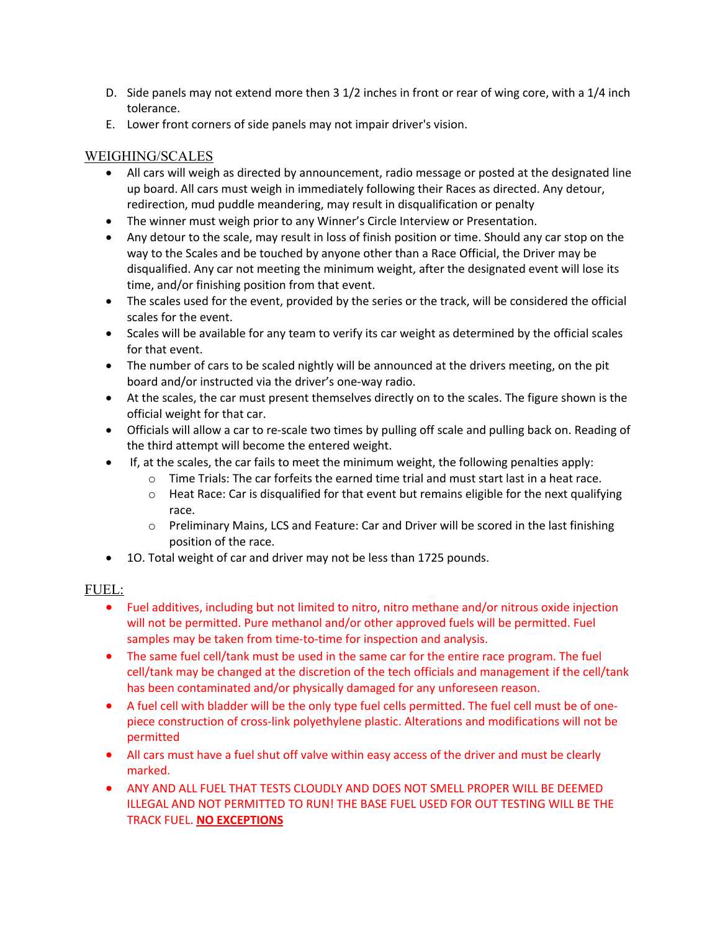- D. Side panels may not extend more then 3 1/2 inches in front or rear of wing core, with a 1/4 inch tolerance.
- E. Lower front corners of side panels may not impair driver's vision.

# WEIGHING/SCALES

- All cars will weigh as directed by announcement, radio message or posted at the designated line up board. All cars must weigh in immediately following their Races as directed. Any detour, redirection, mud puddle meandering, may result in disqualification or penalty
- The winner must weigh prior to any Winner's Circle Interview or Presentation.
- Any detour to the scale, may result in loss of finish position or time. Should any car stop on the way to the Scales and be touched by anyone other than a Race Official, the Driver may be disqualified. Any car not meeting the minimum weight, after the designated event will lose its time, and/or finishing position from that event.
- The scales used for the event, provided by the series or the track, will be considered the official scales for the event.
- Scales will be available for any team to verify its car weight as determined by the official scales for that event.
- The number of cars to be scaled nightly will be announced at the drivers meeting, on the pit board and/or instructed via the driver's one-way radio.
- At the scales, the car must present themselves directly on to the scales. The figure shown is the official weight for that car.
- Officials will allow a car to re-scale two times by pulling off scale and pulling back on. Reading of the third attempt will become the entered weight.
- If, at the scales, the car fails to meet the minimum weight, the following penalties apply:
	- $\circ$  Time Trials: The car forfeits the earned time trial and must start last in a heat race.
	- $\circ$  Heat Race: Car is disqualified for that event but remains eligible for the next qualifying race.
	- $\circ$  Preliminary Mains, LCS and Feature: Car and Driver will be scored in the last finishing position of the race.
- 1O. Total weight of car and driver may not be less than 1725 pounds.

# FUEL:

- Fuel additives, including but not limited to nitro, nitro methane and/or nitrous oxide injection will not be permitted. Pure methanol and/or other approved fuels will be permitted. Fuel samples may be taken from time-to-time for inspection and analysis.
- The same fuel cell/tank must be used in the same car for the entire race program. The fuel cell/tank may be changed at the discretion of the tech officials and management if the cell/tank has been contaminated and/or physically damaged for any unforeseen reason.
- A fuel cell with bladder will be the only type fuel cells permitted. The fuel cell must be of onepiece construction of cross-link polyethylene plastic. Alterations and modifications will not be permitted
- All cars must have a fuel shut off valve within easy access of the driver and must be clearly marked.
- ANY AND ALL FUEL THAT TESTS CLOUDLY AND DOES NOT SMELL PROPER WILL BE DEEMED ILLEGAL AND NOT PERMITTED TO RUN! THE BASE FUEL USED FOR OUT TESTING WILL BE THE TRACK FUEL. **NO EXCEPTIONS**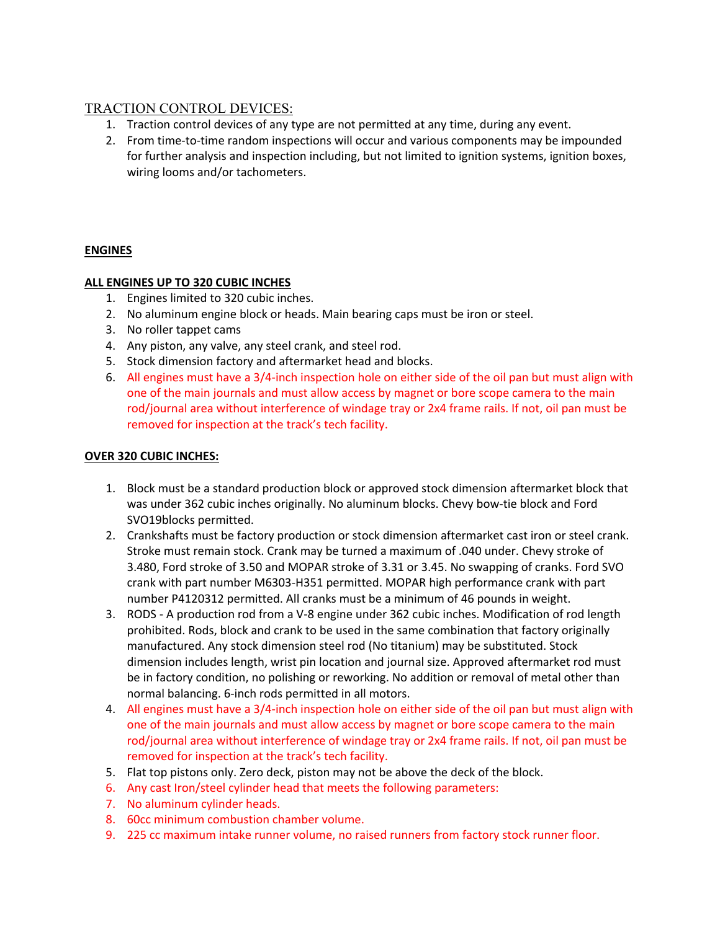# TRACTION CONTROL DEVICES:

- 1. Traction control devices of any type are not permitted at any time, during any event.
- 2. From time-to-time random inspections will occur and various components may be impounded for further analysis and inspection including, but not limited to ignition systems, ignition boxes, wiring looms and/or tachometers.

# **ENGINES**

#### **ALL ENGINES UP TO 320 CUBIC INCHES**

- 1. Engines limited to 320 cubic inches.
- 2. No aluminum engine block or heads. Main bearing caps must be iron or steel.
- 3. No roller tappet cams
- 4. Any piston, any valve, any steel crank, and steel rod.
- 5. Stock dimension factory and aftermarket head and blocks.
- 6. All engines must have a 3/4-inch inspection hole on either side of the oil pan but must align with one of the main journals and must allow access by magnet or bore scope camera to the main rod/journal area without interference of windage tray or 2x4 frame rails. If not, oil pan must be removed for inspection at the track's tech facility.

#### **OVER 320 CUBIC INCHES:**

- 1. Block must be a standard production block or approved stock dimension aftermarket block that was under 362 cubic inches originally. No aluminum blocks. Chevy bow-tie block and Ford SVO19blocks permitted.
- 2. Crankshafts must be factory production or stock dimension aftermarket cast iron or steel crank. Stroke must remain stock. Crank may be turned a maximum of .040 under. Chevy stroke of 3.480, Ford stroke of 3.50 and MOPAR stroke of 3.31 or 3.45. No swapping of cranks. Ford SVO crank with part number M6303-H351 permitted. MOPAR high performance crank with part number P4120312 permitted. All cranks must be a minimum of 46 pounds in weight.
- 3. RODS A production rod from a V-8 engine under 362 cubic inches. Modification of rod length prohibited. Rods, block and crank to be used in the same combination that factory originally manufactured. Any stock dimension steel rod (No titanium) may be substituted. Stock dimension includes length, wrist pin location and journal size. Approved aftermarket rod must be in factory condition, no polishing or reworking. No addition or removal of metal other than normal balancing. 6-inch rods permitted in all motors.
- 4. All engines must have a 3/4-inch inspection hole on either side of the oil pan but must align with one of the main journals and must allow access by magnet or bore scope camera to the main rod/journal area without interference of windage tray or 2x4 frame rails. If not, oil pan must be removed for inspection at the track's tech facility.
- 5. Flat top pistons only. Zero deck, piston may not be above the deck of the block.
- 6. Any cast Iron/steel cylinder head that meets the following parameters:
- 7. No aluminum cylinder heads.
- 8. 60cc minimum combustion chamber volume.
- 9. 225 cc maximum intake runner volume, no raised runners from factory stock runner floor.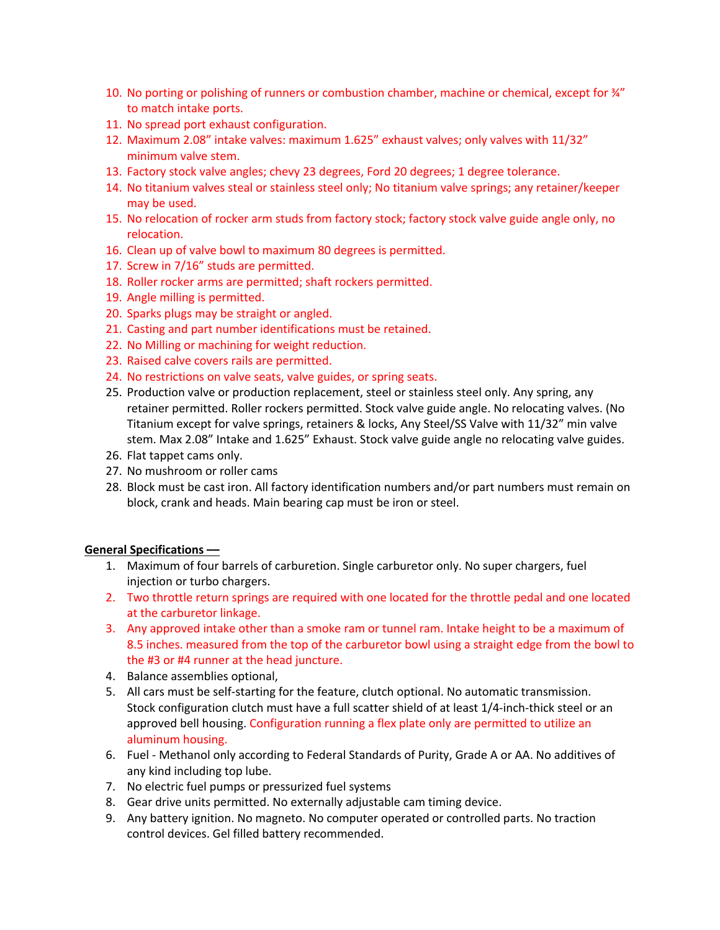- 10. No porting or polishing of runners or combustion chamber, machine or chemical, except for  $\frac{3}{4}$ " to match intake ports.
- 11. No spread port exhaust configuration.
- 12. Maximum 2.08" intake valves: maximum 1.625" exhaust valves; only valves with 11/32" minimum valve stem.
- 13. Factory stock valve angles; chevy 23 degrees, Ford 20 degrees; 1 degree tolerance.
- 14. No titanium valves steal or stainless steel only; No titanium valve springs; any retainer/keeper may be used.
- 15. No relocation of rocker arm studs from factory stock; factory stock valve guide angle only, no relocation.
- 16. Clean up of valve bowl to maximum 80 degrees is permitted.
- 17. Screw in 7/16" studs are permitted.
- 18. Roller rocker arms are permitted; shaft rockers permitted.
- 19. Angle milling is permitted.
- 20. Sparks plugs may be straight or angled.
- 21. Casting and part number identifications must be retained.
- 22. No Milling or machining for weight reduction.
- 23. Raised calve covers rails are permitted.
- 24. No restrictions on valve seats, valve guides, or spring seats.
- 25. Production valve or production replacement, steel or stainless steel only. Any spring, any retainer permitted. Roller rockers permitted. Stock valve guide angle. No relocating valves. (No Titanium except for valve springs, retainers & locks, Any Steel/SS Valve with 11/32" min valve stem. Max 2.08" Intake and 1.625" Exhaust. Stock valve guide angle no relocating valve guides.
- 26. Flat tappet cams only.
- 27. No mushroom or roller cams
- 28. Block must be cast iron. All factory identification numbers and/or part numbers must remain on block, crank and heads. Main bearing cap must be iron or steel.

#### **General Specifications ––**

- 1. Maximum of four barrels of carburetion. Single carburetor only. No super chargers, fuel injection or turbo chargers.
- 2. Two throttle return springs are required with one located for the throttle pedal and one located at the carburetor linkage.
- 3. Any approved intake other than a smoke ram or tunnel ram. Intake height to be a maximum of 8.5 inches. measured from the top of the carburetor bowl using a straight edge from the bowl to the #3 or #4 runner at the head juncture.
- 4. Balance assemblies optional,
- 5. All cars must be self-starting for the feature, clutch optional. No automatic transmission. Stock configuration clutch must have a full scatter shield of at least 1/4-inch-thick steel or an approved bell housing. Configuration running a flex plate only are permitted to utilize an aluminum housing.
- 6. Fuel Methanol only according to Federal Standards of Purity, Grade A or AA. No additives of any kind including top lube.
- 7. No electric fuel pumps or pressurized fuel systems
- 8. Gear drive units permitted. No externally adjustable cam timing device.
- 9. Any battery ignition. No magneto. No computer operated or controlled parts. No traction control devices. Gel filled battery recommended.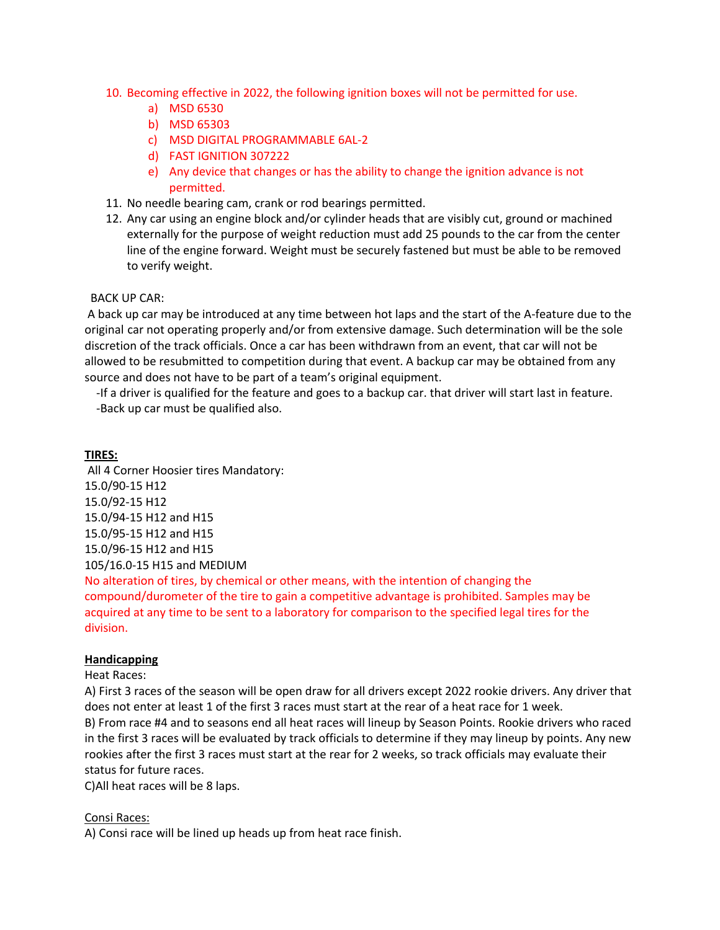- 10. Becoming effective in 2022, the following ignition boxes will not be permitted for use.
	- a) MSD 6530
	- b) MSD 65303
	- c) MSD DIGITAL PROGRAMMABLE 6AL-2
	- d) FAST IGNITION 307222
	- e) Any device that changes or has the ability to change the ignition advance is not permitted.
- 11. No needle bearing cam, crank or rod bearings permitted.
- 12. Any car using an engine block and/or cylinder heads that are visibly cut, ground or machined externally for the purpose of weight reduction must add 25 pounds to the car from the center line of the engine forward. Weight must be securely fastened but must be able to be removed to verify weight.

#### BACK UP CAR:

A back up car may be introduced at any time between hot laps and the start of the A-feature due to the original car not operating properly and/or from extensive damage. Such determination will be the sole discretion of the track officials. Once a car has been withdrawn from an event, that car will not be allowed to be resubmitted to competition during that event. A backup car may be obtained from any source and does not have to be part of a team's original equipment.

 -If a driver is qualified for the feature and goes to a backup car. that driver will start last in feature. -Back up car must be qualified also.

#### **TIRES:**

All 4 Corner Hoosier tires Mandatory: 15.0/90-15 H12 15.0/92-15 H12 15.0/94-15 H12 and H15 15.0/95-15 H12 and H15 15.0/96-15 H12 and H15 105/16.0-15 H15 and MEDIUM

No alteration of tires, by chemical or other means, with the intention of changing the compound/durometer of the tire to gain a competitive advantage is prohibited. Samples may be acquired at any time to be sent to a laboratory for comparison to the specified legal tires for the division.

#### **Handicapping**

#### Heat Races:

A) First 3 races of the season will be open draw for all drivers except 2022 rookie drivers. Any driver that does not enter at least 1 of the first 3 races must start at the rear of a heat race for 1 week. B) From race #4 and to seasons end all heat races will lineup by Season Points. Rookie drivers who raced in the first 3 races will be evaluated by track officials to determine if they may lineup by points. Any new rookies after the first 3 races must start at the rear for 2 weeks, so track officials may evaluate their status for future races.

C)All heat races will be 8 laps.

#### Consi Races:

A) Consi race will be lined up heads up from heat race finish.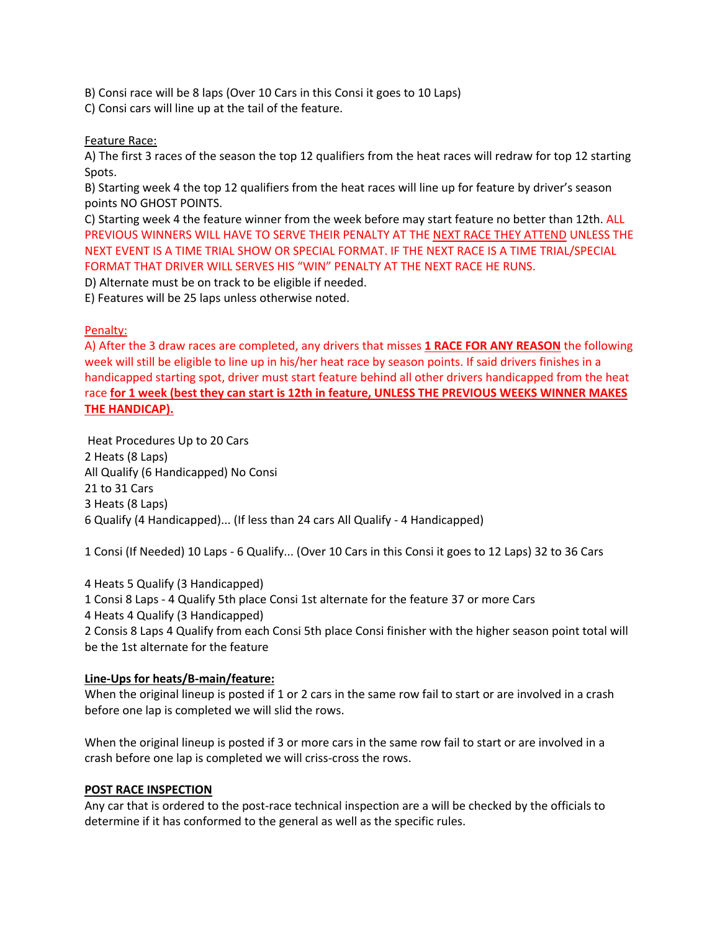B) Consi race will be 8 laps (Over 10 Cars in this Consi it goes to 10 Laps)

C) Consi cars will line up at the tail of the feature.

Feature Race:

A) The first 3 races of the season the top 12 qualifiers from the heat races will redraw for top 12 starting Spots.

B) Starting week 4 the top 12 qualifiers from the heat races will line up for feature by driver's season points NO GHOST POINTS.

C) Starting week 4 the feature winner from the week before may start feature no better than 12th. ALL PREVIOUS WINNERS WILL HAVE TO SERVE THEIR PENALTY AT THE NEXT RACE THEY ATTEND UNLESS THE NEXT EVENT IS A TIME TRIAL SHOW OR SPECIAL FORMAT. IF THE NEXT RACE IS A TIME TRIAL/SPECIAL FORMAT THAT DRIVER WILL SERVES HIS "WIN" PENALTY AT THE NEXT RACE HE RUNS.

D) Alternate must be on track to be eligible if needed.

E) Features will be 25 laps unless otherwise noted.

#### Penalty:

A) After the 3 draw races are completed, any drivers that misses **1 RACE FOR ANY REASON** the following week will still be eligible to line up in his/her heat race by season points. If said drivers finishes in a handicapped starting spot, driver must start feature behind all other drivers handicapped from the heat race **for 1 week (best they can start is 12th in feature, UNLESS THE PREVIOUS WEEKS WINNER MAKES THE HANDICAP).**

Heat Procedures Up to 20 Cars 2 Heats (8 Laps) All Qualify (6 Handicapped) No Consi 21 to 31 Cars 3 Heats (8 Laps) 6 Qualify (4 Handicapped)... (If less than 24 cars All Qualify - 4 Handicapped)

1 Consi (If Needed) 10 Laps - 6 Qualify... (Over 10 Cars in this Consi it goes to 12 Laps) 32 to 36 Cars

4 Heats 5 Qualify (3 Handicapped) 1 Consi 8 Laps - 4 Qualify 5th place Consi 1st alternate for the feature 37 or more Cars 4 Heats 4 Qualify (3 Handicapped) 2 Consis 8 Laps 4 Qualify from each Consi 5th place Consi finisher with the higher season point total will be the 1st alternate for the feature

# **Line-Ups for heats/B-main/feature:**

When the original lineup is posted if 1 or 2 cars in the same row fail to start or are involved in a crash before one lap is completed we will slid the rows.

When the original lineup is posted if 3 or more cars in the same row fail to start or are involved in a crash before one lap is completed we will criss-cross the rows.

#### **POST RACE INSPECTION**

Any car that is ordered to the post-race technical inspection are a will be checked by the officials to determine if it has conformed to the general as well as the specific rules.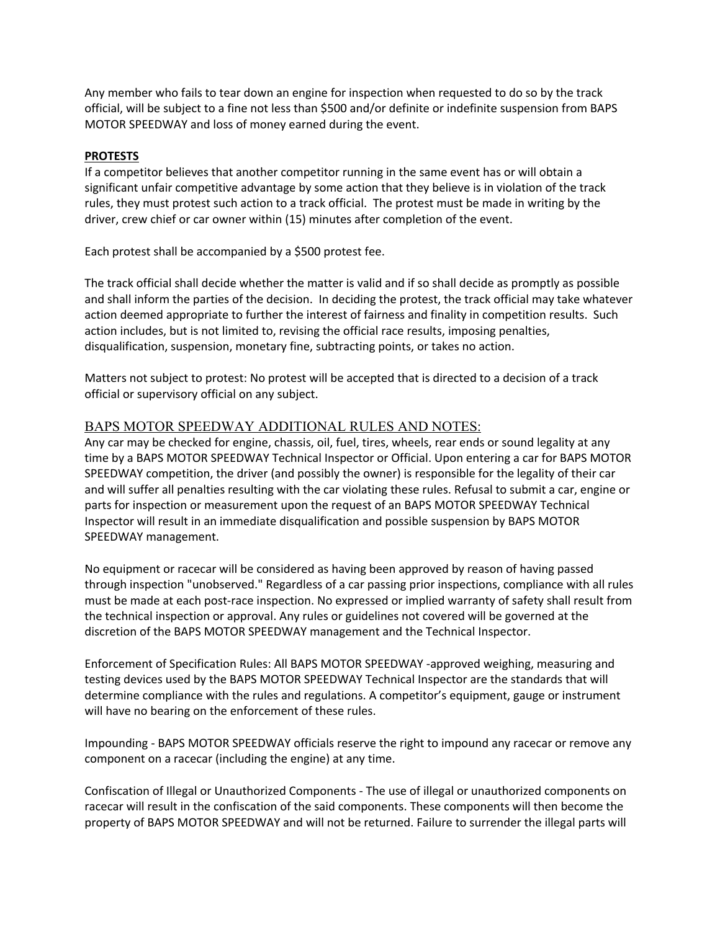Any member who fails to tear down an engine for inspection when requested to do so by the track official, will be subject to a fine not less than \$500 and/or definite or indefinite suspension from BAPS MOTOR SPEEDWAY and loss of money earned during the event.

#### **PROTESTS**

If a competitor believes that another competitor running in the same event has or will obtain a significant unfair competitive advantage by some action that they believe is in violation of the track rules, they must protest such action to a track official. The protest must be made in writing by the driver, crew chief or car owner within (15) minutes after completion of the event.

Each protest shall be accompanied by a \$500 protest fee.

The track official shall decide whether the matter is valid and if so shall decide as promptly as possible and shall inform the parties of the decision. In deciding the protest, the track official may take whatever action deemed appropriate to further the interest of fairness and finality in competition results. Such action includes, but is not limited to, revising the official race results, imposing penalties, disqualification, suspension, monetary fine, subtracting points, or takes no action.

Matters not subject to protest: No protest will be accepted that is directed to a decision of a track official or supervisory official on any subject.

# BAPS MOTOR SPEEDWAY ADDITIONAL RULES AND NOTES:

Any car may be checked for engine, chassis, oil, fuel, tires, wheels, rear ends or sound legality at any time by a BAPS MOTOR SPEEDWAY Technical Inspector or Official. Upon entering a car for BAPS MOTOR SPEEDWAY competition, the driver (and possibly the owner) is responsible for the legality of their car and will suffer all penalties resulting with the car violating these rules. Refusal to submit a car, engine or parts for inspection or measurement upon the request of an BAPS MOTOR SPEEDWAY Technical Inspector will result in an immediate disqualification and possible suspension by BAPS MOTOR SPEEDWAY management.

No equipment or racecar will be considered as having been approved by reason of having passed through inspection "unobserved." Regardless of a car passing prior inspections, compliance with all rules must be made at each post-race inspection. No expressed or implied warranty of safety shall result from the technical inspection or approval. Any rules or guidelines not covered will be governed at the discretion of the BAPS MOTOR SPEEDWAY management and the Technical Inspector.

Enforcement of Specification Rules: All BAPS MOTOR SPEEDWAY -approved weighing, measuring and testing devices used by the BAPS MOTOR SPEEDWAY Technical Inspector are the standards that will determine compliance with the rules and regulations. A competitor's equipment, gauge or instrument will have no bearing on the enforcement of these rules.

Impounding - BAPS MOTOR SPEEDWAY officials reserve the right to impound any racecar or remove any component on a racecar (including the engine) at any time.

Confiscation of Illegal or Unauthorized Components - The use of illegal or unauthorized components on racecar will result in the confiscation of the said components. These components will then become the property of BAPS MOTOR SPEEDWAY and will not be returned. Failure to surrender the illegal parts will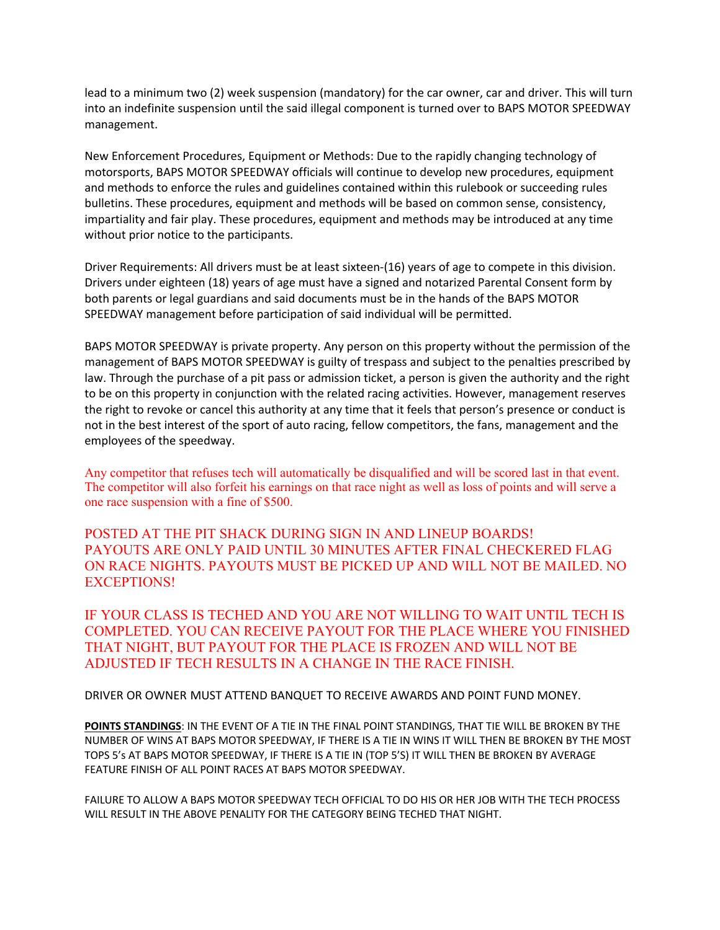lead to a minimum two (2) week suspension (mandatory) for the car owner, car and driver. This will turn into an indefinite suspension until the said illegal component is turned over to BAPS MOTOR SPEEDWAY management.

New Enforcement Procedures, Equipment or Methods: Due to the rapidly changing technology of motorsports, BAPS MOTOR SPEEDWAY officials will continue to develop new procedures, equipment and methods to enforce the rules and guidelines contained within this rulebook or succeeding rules bulletins. These procedures, equipment and methods will be based on common sense, consistency, impartiality and fair play. These procedures, equipment and methods may be introduced at any time without prior notice to the participants.

Driver Requirements: All drivers must be at least sixteen-(16) years of age to compete in this division. Drivers under eighteen (18) years of age must have a signed and notarized Parental Consent form by both parents or legal guardians and said documents must be in the hands of the BAPS MOTOR SPEEDWAY management before participation of said individual will be permitted.

BAPS MOTOR SPEEDWAY is private property. Any person on this property without the permission of the management of BAPS MOTOR SPEEDWAY is guilty of trespass and subject to the penalties prescribed by law. Through the purchase of a pit pass or admission ticket, a person is given the authority and the right to be on this property in conjunction with the related racing activities. However, management reserves the right to revoke or cancel this authority at any time that it feels that person's presence or conduct is not in the best interest of the sport of auto racing, fellow competitors, the fans, management and the employees of the speedway.

Any competitor that refuses tech will automatically be disqualified and will be scored last in that event. The competitor will also forfeit his earnings on that race night as well as loss of points and will serve a one race suspension with a fine of \$500.

POSTED AT THE PIT SHACK DURING SIGN IN AND LINEUP BOARDS! PAYOUTS ARE ONLY PAID UNTIL 30 MINUTES AFTER FINAL CHECKERED FLAG ON RACE NIGHTS. PAYOUTS MUST BE PICKED UP AND WILL NOT BE MAILED. NO EXCEPTIONS!

IF YOUR CLASS IS TECHED AND YOU ARE NOT WILLING TO WAIT UNTIL TECH IS COMPLETED. YOU CAN RECEIVE PAYOUT FOR THE PLACE WHERE YOU FINISHED THAT NIGHT, BUT PAYOUT FOR THE PLACE IS FROZEN AND WILL NOT BE ADJUSTED IF TECH RESULTS IN A CHANGE IN THE RACE FINISH.

DRIVER OR OWNER MUST ATTEND BANQUET TO RECEIVE AWARDS AND POINT FUND MONEY.

**POINTS STANDINGS**: IN THE EVENT OF A TIE IN THE FINAL POINT STANDINGS, THAT TIE WILL BE BROKEN BY THE NUMBER OF WINS AT BAPS MOTOR SPEEDWAY, IF THERE IS A TIE IN WINS IT WILL THEN BE BROKEN BY THE MOST TOPS 5's AT BAPS MOTOR SPEEDWAY, IF THERE IS A TIE IN (TOP 5'S) IT WILL THEN BE BROKEN BY AVERAGE FEATURE FINISH OF ALL POINT RACES AT BAPS MOTOR SPEEDWAY.

FAILURE TO ALLOW A BAPS MOTOR SPEEDWAY TECH OFFICIAL TO DO HIS OR HER JOB WITH THE TECH PROCESS WILL RESULT IN THE ABOVE PENALITY FOR THE CATEGORY BEING TECHED THAT NIGHT.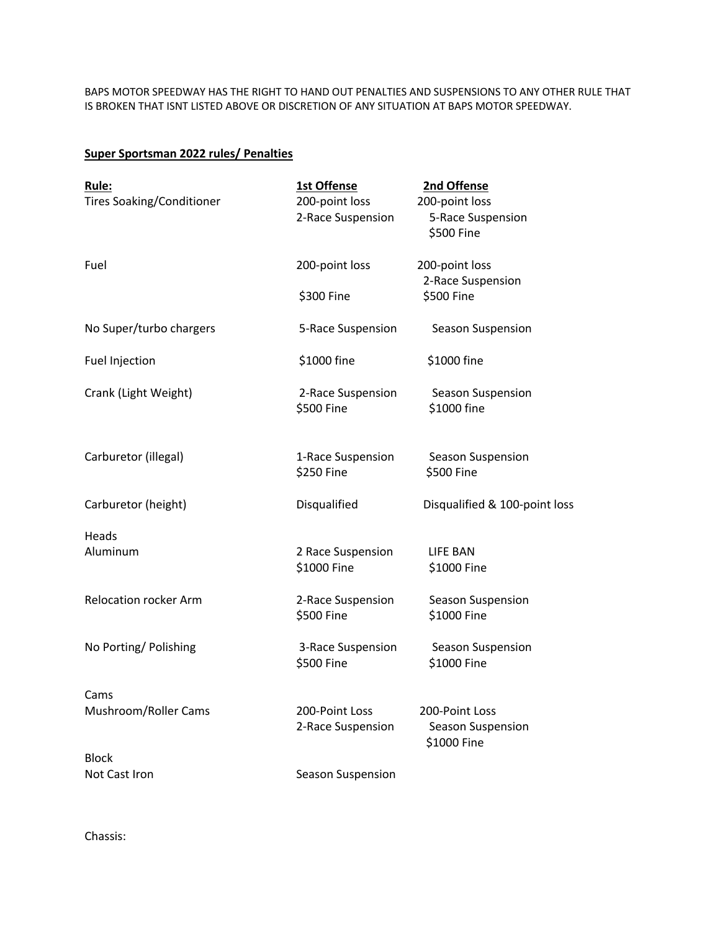BAPS MOTOR SPEEDWAY HAS THE RIGHT TO HAND OUT PENALTIES AND SUSPENSIONS TO ANY OTHER RULE THAT IS BROKEN THAT ISNT LISTED ABOVE OR DISCRETION OF ANY SITUATION AT BAPS MOTOR SPEEDWAY.

# **Super Sportsman 2022 rules/ Penalties**

| Rule:<br><b>Tires Soaking/Conditioner</b> | 1st Offense<br>200-point loss       | 2nd Offense<br>200-point loss                      |
|-------------------------------------------|-------------------------------------|----------------------------------------------------|
|                                           | 2-Race Suspension                   | 5-Race Suspension<br>\$500 Fine                    |
| Fuel                                      | 200-point loss                      | 200-point loss<br>2-Race Suspension                |
|                                           | \$300 Fine                          | \$500 Fine                                         |
| No Super/turbo chargers                   | 5-Race Suspension                   | Season Suspension                                  |
| Fuel Injection                            | \$1000 fine                         | \$1000 fine                                        |
| Crank (Light Weight)                      | 2-Race Suspension<br>\$500 Fine     | Season Suspension<br>\$1000 fine                   |
| Carburetor (illegal)                      | 1-Race Suspension<br>\$250 Fine     | Season Suspension<br>\$500 Fine                    |
| Carburetor (height)                       | Disqualified                        | Disqualified & 100-point loss                      |
| Heads                                     |                                     |                                                    |
| Aluminum                                  | 2 Race Suspension<br>\$1000 Fine    | <b>LIFE BAN</b><br>\$1000 Fine                     |
| <b>Relocation rocker Arm</b>              | 2-Race Suspension<br>\$500 Fine     | Season Suspension<br>\$1000 Fine                   |
| No Porting/ Polishing                     | 3-Race Suspension<br>\$500 Fine     | Season Suspension<br>\$1000 Fine                   |
| Cams                                      |                                     |                                                    |
| Mushroom/Roller Cams                      | 200-Point Loss<br>2-Race Suspension | 200-Point Loss<br>Season Suspension<br>\$1000 Fine |
| <b>Block</b>                              |                                     |                                                    |
| Not Cast Iron                             | Season Suspension                   |                                                    |

Chassis: